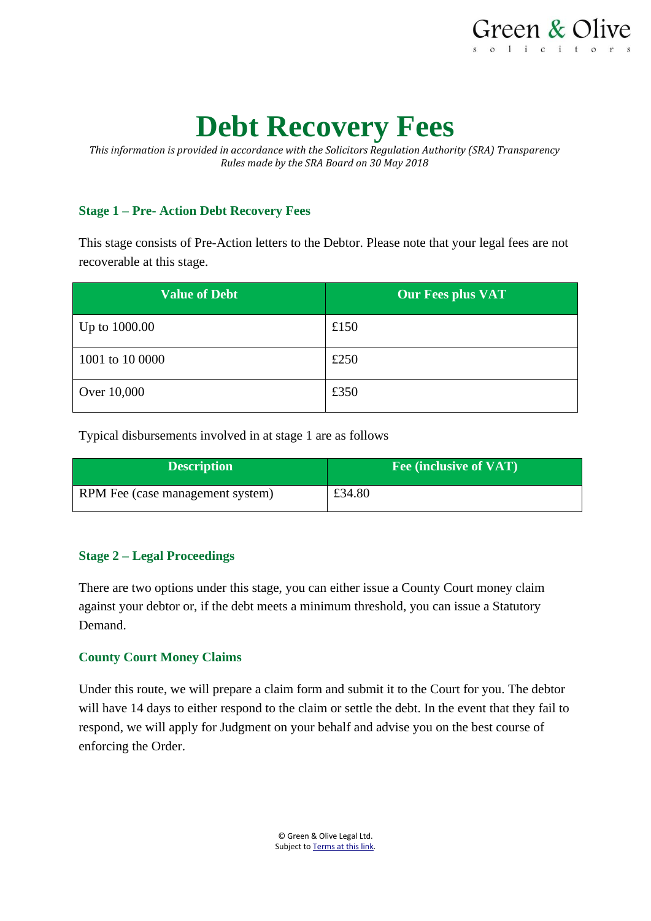

# **Debt Recovery Fees**

*This information is provided in accordance with the Solicitors Regulation Authority (SRA) Transparency Rules made by the SRA Board on 30 May 2018*

## **Stage 1 – Pre- Action Debt Recovery Fees**

This stage consists of Pre-Action letters to the Debtor. Please note that your legal fees are not recoverable at this stage.

| <b>Value of Debt</b> | <b>Our Fees plus VAT</b> |
|----------------------|--------------------------|
| Up to 1000.00        | £150                     |
| 1001 to 10 0000      | £250                     |
| Over 10,000          | £350                     |

Typical disbursements involved in at stage 1 are as follows

| <b>Description</b>               | Fee (inclusive of VAT) |
|----------------------------------|------------------------|
| RPM Fee (case management system) | £34.80                 |

### **Stage 2 – Legal Proceedings**

There are two options under this stage, you can either issue a County Court money claim against your debtor or, if the debt meets a minimum threshold, you can issue a Statutory Demand.

### **County Court Money Claims**

Under this route, we will prepare a claim form and submit it to the Court for you. The debtor will have 14 days to either respond to the claim or settle the debt. In the event that they fail to respond, we will apply for Judgment on your behalf and advise you on the best course of enforcing the Order.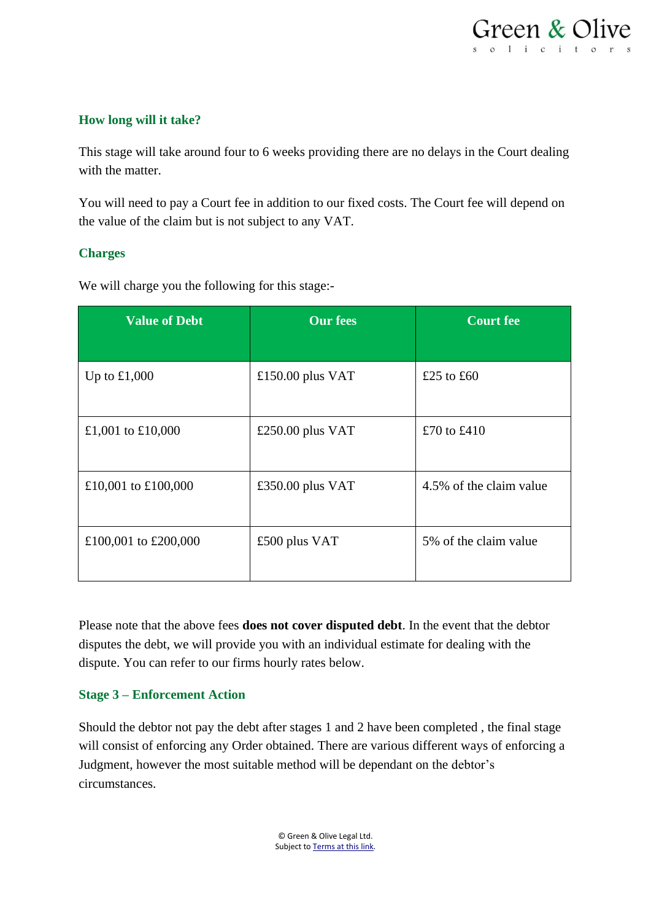## **How long will it take?**

This stage will take around four to 6 weeks providing there are no delays in the Court dealing with the matter.

You will need to pay a Court fee in addition to our fixed costs. The Court fee will depend on the value of the claim but is not subject to any VAT.

## **Charges**

We will charge you the following for this stage:-

| <b>Value of Debt</b> | <b>Our fees</b>    | <b>Court fee</b>        |
|----------------------|--------------------|-------------------------|
|                      |                    |                         |
| Up to $£1,000$       | £150.00 plus $VAT$ | £25 to £60              |
| £1,001 to £10,000    | £250.00 plus $VAT$ | £70 to £410             |
| £10,001 to £100,000  | £350.00 plus VAT   | 4.5% of the claim value |
| £100,001 to £200,000 | £500 plus VAT      | 5% of the claim value   |

Please note that the above fees **does not cover disputed debt**. In the event that the debtor disputes the debt, we will provide you with an individual estimate for dealing with the dispute. You can refer to our firms hourly rates below.

### **Stage 3 – Enforcement Action**

Should the debtor not pay the debt after stages 1 and 2 have been completed , the final stage will consist of enforcing any Order obtained. There are various different ways of enforcing a Judgment, however the most suitable method will be dependant on the debtor's circumstances.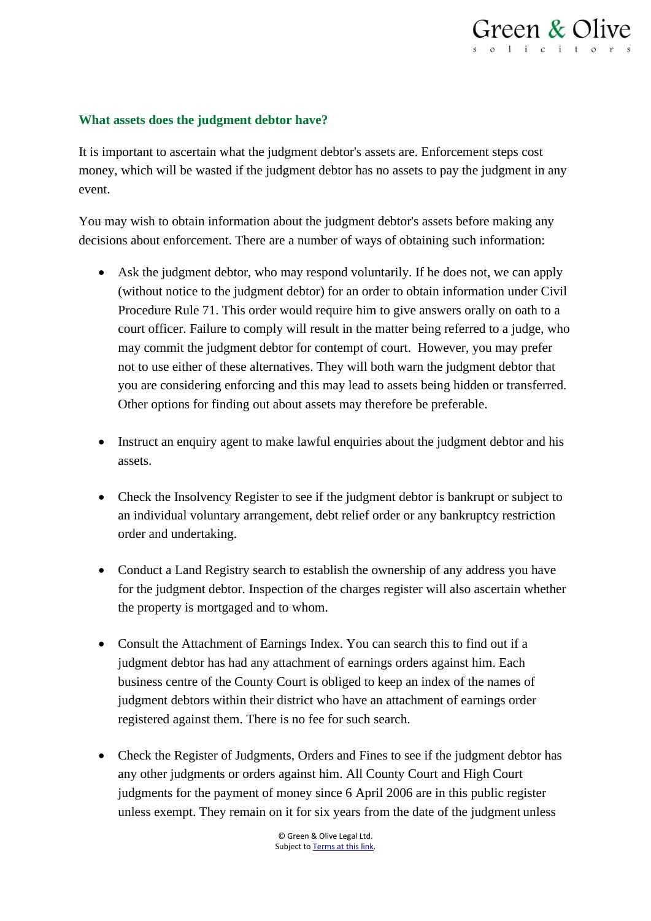

#### **What assets does the judgment debtor have?**

It is important to ascertain what the judgment debtor's assets are. Enforcement steps cost money, which will be wasted if the judgment debtor has no assets to pay the judgment in any event.

You may wish to obtain information about the judgment debtor's assets before making any decisions about enforcement. There are a number of ways of obtaining such information:

- Ask the judgment debtor, who may respond voluntarily. If he does not, we can apply (without notice to the judgment debtor) for an order to obtain information under Civil Procedure Rule 71. This order would require him to give answers orally on oath to a court officer. Failure to comply will result in the matter being referred to a judge, who may commit the judgment debtor for contempt of court. However, you may prefer not to use either of these alternatives. They will both warn the judgment debtor that you are considering enforcing and this may lead to assets being hidden or transferred. Other options for finding out about assets may therefore be preferable.
- Instruct an enquiry agent to make lawful enquiries about the judgment debtor and his assets.
- Check the Insolvency Register to see if the judgment debtor is bankrupt or subject to an individual voluntary arrangement, debt relief order or any bankruptcy restriction order and undertaking.
- Conduct a Land Registry search to establish the ownership of any address you have for the judgment debtor. Inspection of the charges register will also ascertain whether the property is mortgaged and to whom.
- Consult the Attachment of Earnings Index. You can search this to find out if a judgment debtor has had any attachment of earnings orders against him. Each business centre of the County Court is obliged to keep an index of the names of judgment debtors within their district who have an attachment of earnings order registered against them. There is no fee for such search.
- Check the Register of Judgments, Orders and Fines to see if the judgment debtor has any other judgments or orders against him. All County Court and High Court judgments for the payment of money since 6 April 2006 are in this public register unless exempt. They remain on it for six years from the date of the judgment unless

© Green & Olive Legal Ltd. Subject t[o Terms at this link.](https://www.greenandolive.co.uk/terms/)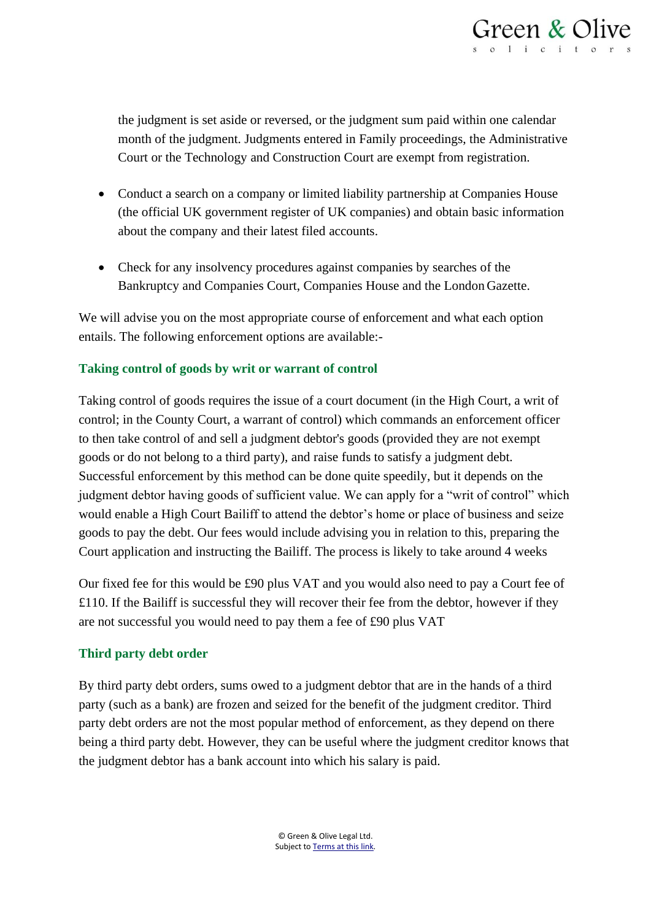

the judgment is set aside or reversed, or the judgment sum paid within one calendar month of the judgment. Judgments entered in Family proceedings, the Administrative Court or the Technology and Construction Court are exempt from registration.

- Conduct a search on a company or limited liability partnership at Companies House (the official UK government register of UK companies) and obtain basic information about the company and their latest filed accounts.
- Check for any insolvency procedures against companies by searches of the Bankruptcy and Companies Court, Companies House and the London Gazette.

We will advise you on the most appropriate course of enforcement and what each option entails. The following enforcement options are available:-

### **Taking control of goods by writ or warrant of control**

Taking control of goods requires the issue of a court document (in the High Court, a writ of control; in the County Court, a warrant of control) which commands an enforcement officer to then take control of and sell a judgment debtor's goods (provided they are not exempt goods or do not belong to a third party), and raise funds to satisfy a judgment debt. Successful enforcement by this method can be done quite speedily, but it depends on the judgment debtor having goods of sufficient value. We can apply for a "writ of control" which would enable a High Court Bailiff to attend the debtor's home or place of business and seize goods to pay the debt. Our fees would include advising you in relation to this, preparing the Court application and instructing the Bailiff. The process is likely to take around 4 weeks

Our fixed fee for this would be £90 plus VAT and you would also need to pay a Court fee of £110. If the Bailiff is successful they will recover their fee from the debtor, however if they are not successful you would need to pay them a fee of £90 plus VAT

### **Third party debt order**

By third party debt orders, sums owed to a judgment debtor that are in the hands of a third party (such as a bank) are frozen and seized for the benefit of the judgment creditor. Third party debt orders are not the most popular method of enforcement, as they depend on there being a third party debt. However, they can be useful where the judgment creditor knows that the judgment debtor has a bank account into which his salary is paid.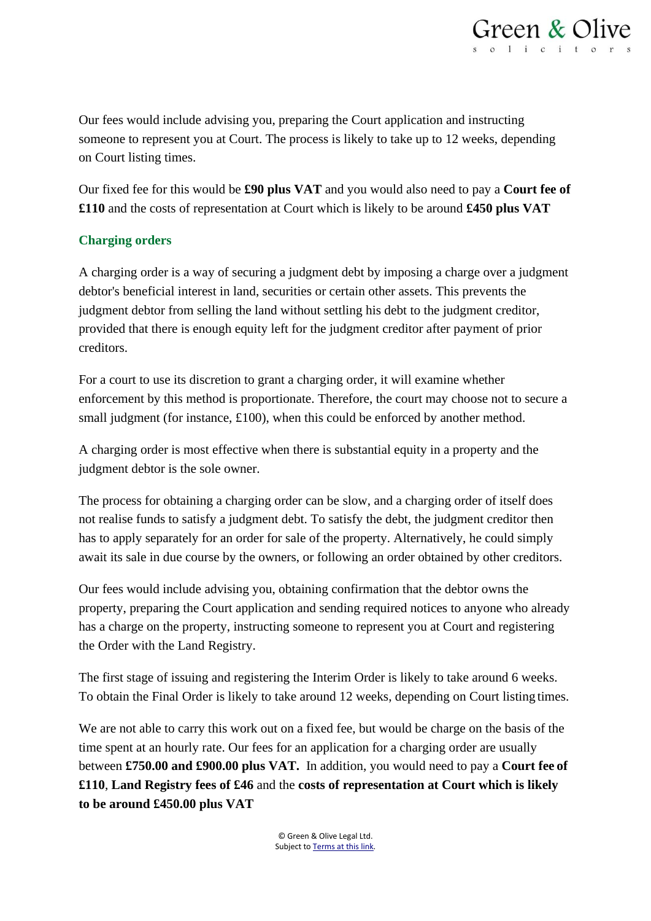

Our fees would include advising you, preparing the Court application and instructing someone to represent you at Court. The process is likely to take up to 12 weeks, depending on Court listing times.

Our fixed fee for this would be **£90 plus VAT** and you would also need to pay a **Court fee of £110** and the costs of representation at Court which is likely to be around **£450 plus VAT** 

## **Charging orders**

A charging order is a way of securing a judgment debt by imposing a charge over a judgment debtor's beneficial interest in land, securities or certain other assets. This prevents the judgment debtor from selling the land without settling his debt to the judgment creditor, provided that there is enough equity left for the judgment creditor after payment of prior creditors.

For a court to use its discretion to grant a charging order, it will examine whether enforcement by this method is proportionate. Therefore, the court may choose not to secure a small judgment (for instance, £100), when this could be enforced by another method.

A charging order is most effective when there is substantial equity in a property and the judgment debtor is the sole owner.

The process for obtaining a charging order can be slow, and a charging order of itself does not realise funds to satisfy a judgment debt. To satisfy the debt, the judgment creditor then has to apply separately for an order for sale of the property. Alternatively, he could simply await its sale in due course by the owners, or following an order obtained by other creditors.

Our fees would include advising you, obtaining confirmation that the debtor owns the property, preparing the Court application and sending required notices to anyone who already has a charge on the property, instructing someone to represent you at Court and registering the Order with the Land Registry.

The first stage of issuing and registering the Interim Order is likely to take around 6 weeks. To obtain the Final Order is likely to take around 12 weeks, depending on Court listing times.

We are not able to carry this work out on a fixed fee, but would be charge on the basis of the time spent at an hourly rate. Our fees for an application for a charging order are usually between **£750.00 and £900.00 plus VAT.** In addition, you would need to pay a **Court fee of £110**, **Land Registry fees of £46** and the **costs of representation at Court which is likely to be around £450.00 plus VAT**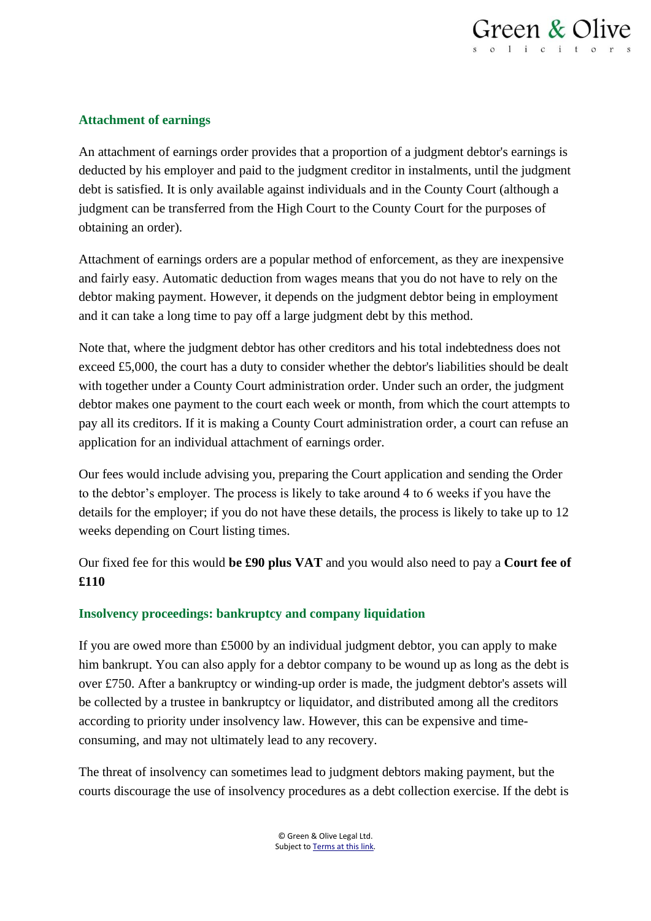

### **Attachment of earnings**

An attachment of earnings order provides that a proportion of a judgment debtor's earnings is deducted by his employer and paid to the judgment creditor in instalments, until the judgment debt is satisfied. It is only available against individuals and in the County Court (although a judgment can be transferred from the High Court to the County Court for the purposes of obtaining an order).

Attachment of earnings orders are a popular method of enforcement, as they are inexpensive and fairly easy. Automatic deduction from wages means that you do not have to rely on the debtor making payment. However, it depends on the judgment debtor being in employment and it can take a long time to pay off a large judgment debt by this method.

Note that, where the judgment debtor has other creditors and his total indebtedness does not exceed £5,000, the court has a duty to consider whether the debtor's liabilities should be dealt with together under a County Court administration order. Under such an order, the judgment debtor makes one payment to the court each week or month, from which the court attempts to pay all its creditors. If it is making a County Court administration order, a court can refuse an application for an individual attachment of earnings order.

Our fees would include advising you, preparing the Court application and sending the Order to the debtor's employer. The process is likely to take around 4 to 6 weeks if you have the details for the employer; if you do not have these details, the process is likely to take up to 12 weeks depending on Court listing times.

Our fixed fee for this would **be £90 plus VAT** and you would also need to pay a **Court fee of £110**

#### **Insolvency proceedings: bankruptcy and company liquidation**

If you are owed more than £5000 by an individual judgment debtor, you can apply to make him bankrupt. You can also apply for a debtor company to be wound up as long as the debt is over £750. After a bankruptcy or winding-up order is made, the judgment debtor's assets will be collected by a trustee in bankruptcy or liquidator, and distributed among all the creditors according to priority under insolvency law. However, this can be expensive and timeconsuming, and may not ultimately lead to any recovery.

The threat of insolvency can sometimes lead to judgment debtors making payment, but the courts discourage the use of insolvency procedures as a debt collection exercise. If the debt is

> © Green & Olive Legal Ltd. Subject t[o Terms at this link.](https://www.greenandolive.co.uk/terms/)